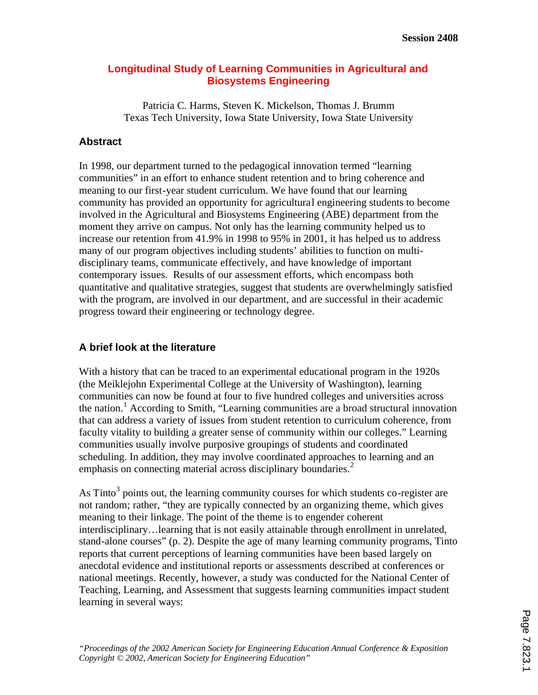## **Longitudinal Study of Learning Communities in Agricultural and Biosystems Engineering**

Patricia C. Harms, Steven K. Mickelson, Thomas J. Brumm Texas Tech University, Iowa State University, Iowa State University

## **Abstract**

In 1998, our department turned to the pedagogical innovation termed "learning communities" in an effort to enhance student retention and to bring coherence and meaning to our first-year student curriculum. We have found that our learning community has provided an opportunity for agricultural engineering students to become involved in the Agricultural and Biosystems Engineering (ABE) department from the moment they arrive on campus. Not only has the learning community helped us to increase our retention from 41.9% in 1998 to 95% in 2001, it has helped us to address many of our program objectives including students' abilities to function on multidisciplinary teams, communicate effectively, and have knowledge of important contemporary issues. Results of our assessment efforts, which encompass both quantitative and qualitative strategies, suggest that students are overwhelmingly satisfied with the program, are involved in our department, and are successful in their academic progress toward their engineering or technology degree.

## **A brief look at the literature**

With a history that can be traced to an experimental educational program in the 1920s (the Meiklejohn Experimental College at the University of Washington), learning communities can now be found at four to five hundred colleges and universities across the nation.<sup>1</sup> According to Smith, "Learning communities are a broad structural innovation that can address a variety of issues from student retention to curriculum coherence, from faculty vitality to building a greater sense of community within our colleges." Learning communities usually involve purposive groupings of students and coordinated scheduling. In addition, they may involve coordinated approaches to learning and an emphasis on connecting material across disciplinary boundaries.<sup>2</sup>

As Tinto<sup>3</sup> points out, the learning community courses for which students co-register are not random; rather, "they are typically connected by an organizing theme, which gives meaning to their linkage. The point of the theme is to engender coherent interdisciplinary…learning that is not easily attainable through enrollment in unrelated, stand-alone courses" (p. 2). Despite the age of many learning community programs, Tinto reports that current perceptions of learning communities have been based largely on anecdotal evidence and institutional reports or assessments described at conferences or national meetings. Recently, however, a study was conducted for the National Center of Teaching, Learning, and Assessment that suggests learning communities impact student learning in several ways: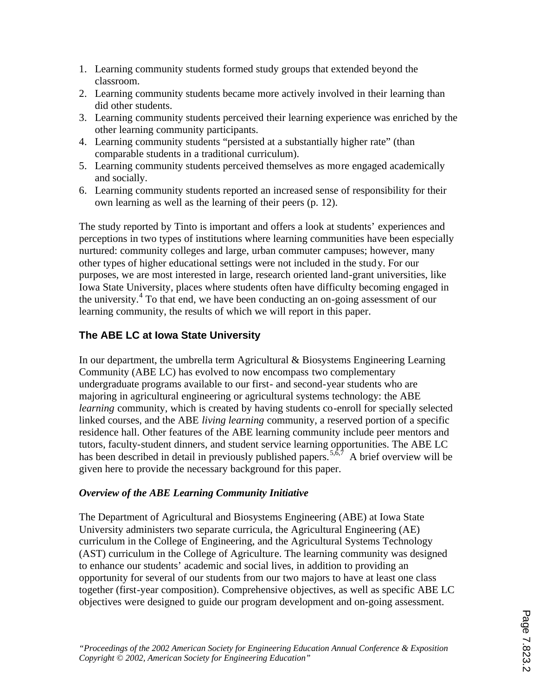- 1. Learning community students formed study groups that extended beyond the classroom.
- 2. Learning community students became more actively involved in their learning than did other students.
- 3. Learning community students perceived their learning experience was enriched by the other learning community participants.
- 4. Learning community students "persisted at a substantially higher rate" (than comparable students in a traditional curriculum).
- 5. Learning community students perceived themselves as more engaged academically and socially.
- 6. Learning community students reported an increased sense of responsibility for their own learning as well as the learning of their peers (p. 12).

The study reported by Tinto is important and offers a look at students' experiences and perceptions in two types of institutions where learning communities have been especially nurtured: community colleges and large, urban commuter campuses; however, many other types of higher educational settings were not included in the study. For our purposes, we are most interested in large, research oriented land-grant universities, like Iowa State University, places where students often have difficulty becoming engaged in the university.<sup>4</sup> To that end, we have been conducting an on-going assessment of our learning community, the results of which we will report in this paper.

## **The ABE LC at Iowa State University**

In our department, the umbrella term Agricultural & Biosystems Engineering Learning Community (ABE LC) has evolved to now encompass two complementary undergraduate programs available to our first- and second-year students who are majoring in agricultural engineering or agricultural systems technology: the ABE *learning* community, which is created by having students co-enroll for specially selected linked courses, and the ABE *living learning* community, a reserved portion of a specific residence hall. Other features of the ABE learning community include peer mentors and tutors, faculty-student dinners, and student service learning opportunities. The ABE LC has been described in detail in previously published papers.<sup>5,6,7</sup> A brief overview will be given here to provide the necessary background for this paper.

## *Overview of the ABE Learning Community Initiative*

The Department of Agricultural and Biosystems Engineering (ABE) at Iowa State University administers two separate curricula, the Agricultural Engineering (AE) curriculum in the College of Engineering, and the Agricultural Systems Technology (AST) curriculum in the College of Agriculture. The learning community was designed to enhance our students' academic and social lives, in addition to providing an opportunity for several of our students from our two majors to have at least one class together (first-year composition). Comprehensive objectives, as well as specific ABE LC objectives were designed to guide our program development and on-going assessment.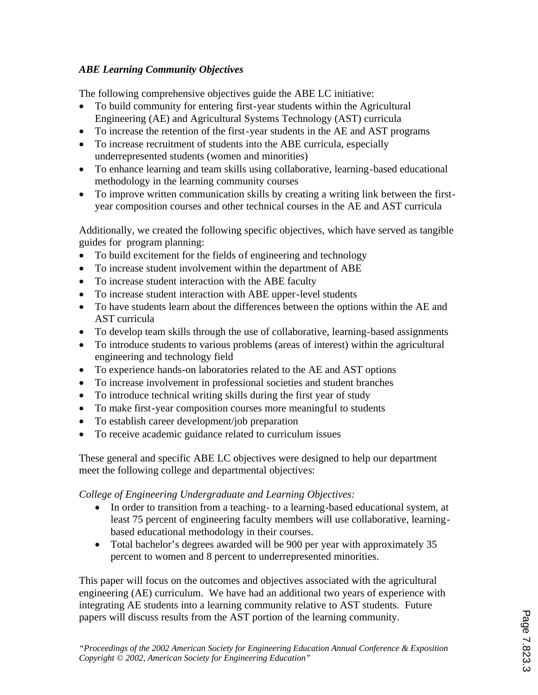## *ABE Learning Community Objectives*

The following comprehensive objectives guide the ABE LC initiative:

- · To build community for entering first-year students within the Agricultural Engineering (AE) and Agricultural Systems Technology (AST) curricula
- To increase the retention of the first-year students in the AE and AST programs
- · To increase recruitment of students into the ABE curricula, especially underrepresented students (women and minorities)
- · To enhance learning and team skills using collaborative, learning-based educational methodology in the learning community courses
- To improve written communication skills by creating a writing link between the firstyear composition courses and other technical courses in the AE and AST curricula

Additionally, we created the following specific objectives, which have served as tangible guides for program planning:

- To build excitement for the fields of engineering and technology
- To increase student involvement within the department of ABE
- To increase student interaction with the ABE faculty
- · To increase student interaction with ABE upper-level students
- · To have students learn about the differences between the options within the AE and AST curricula
- To develop team skills through the use of collaborative, learning-based assignments
- To introduce students to various problems (areas of interest) within the agricultural engineering and technology field
- · To experience hands-on laboratories related to the AE and AST options
- · To increase involvement in professional societies and student branches
- To introduce technical writing skills during the first year of study
- · To make first-year composition courses more meaningful to students
- To establish career development/job preparation
- · To receive academic guidance related to curriculum issues

These general and specific ABE LC objectives were designed to help our department meet the following college and departmental objectives:

*College of Engineering Undergraduate and Learning Objectives:*

- In order to transition from a teaching-to a learning-based educational system, at least 75 percent of engineering faculty members will use collaborative, learningbased educational methodology in their courses.
- Total bachelor's degrees awarded will be 900 per year with approximately 35 percent to women and 8 percent to underrepresented minorities.

This paper will focus on the outcomes and objectives associated with the agricultural engineering (AE) curriculum. We have had an additional two years of experience with integrating AE students into a learning community relative to AST students. Future papers will discuss results from the AST portion of the learning community.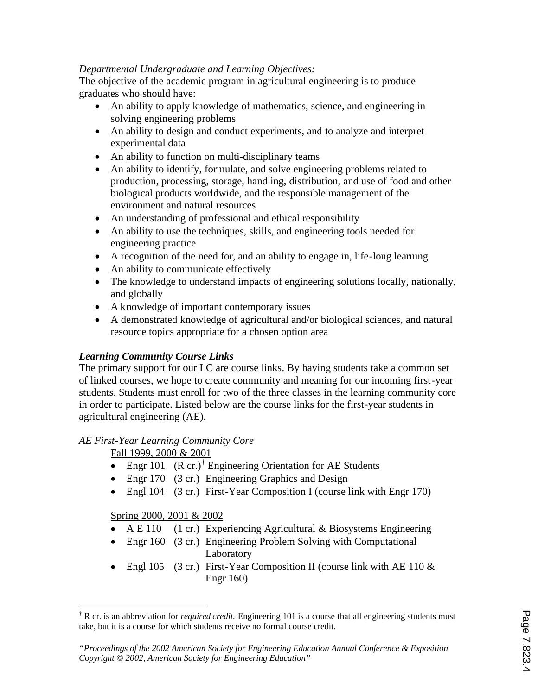### *Departmental Undergraduate and Learning Objectives:*

The objective of the academic program in agricultural engineering is to produce graduates who should have:

- An ability to apply knowledge of mathematics, science, and engineering in solving engineering problems
- An ability to design and conduct experiments, and to analyze and interpret experimental data
- An ability to function on multi-disciplinary teams
- An ability to identify, formulate, and solve engineering problems related to production, processing, storage, handling, distribution, and use of food and other biological products worldwide, and the responsible management of the environment and natural resources
- An understanding of professional and ethical responsibility
- An ability to use the techniques, skills, and engineering tools needed for engineering practice
- · A recognition of the need for, and an ability to engage in, life-long learning
- An ability to communicate effectively
- · The knowledge to understand impacts of engineering solutions locally, nationally, and globally
- A knowledge of important contemporary issues
- · A demonstrated knowledge of agricultural and/or biological sciences, and natural resource topics appropriate for a chosen option area

### *Learning Community Course Links*

The primary support for our LC are course links. By having students take a common set of linked courses, we hope to create community and meaning for our incoming first-year students. Students must enroll for two of the three classes in the learning community core in order to participate. Listed below are the course links for the first-year students in agricultural engineering (AE).

#### *AE First-Year Learning Community Core*

Fall 1999, 2000 & 2001

- Engr 101  $(R \text{ cr.})^{\dagger}$  Engineering Orientation for AE Students
- Engr 170 (3 cr.) Engineering Graphics and Design
- Engl 104 (3 cr.) First-Year Composition I (course link with Engr 170)

#### Spring 2000, 2001 & 2002

 $\overline{a}$ 

- A E 110 (1 cr.) Experiencing Agricultural & Biosystems Engineering
- Engr 160 (3 cr.) Engineering Problem Solving with Computational Laboratory
- Engl 105 (3 cr.) First-Year Composition II (course link with AE 110  $\&$ Engr 160)

<sup>†</sup> R cr. is an abbreviation for *required credit.* Engineering 101 is a course that all engineering students must take, but it is a course for which students receive no formal course credit.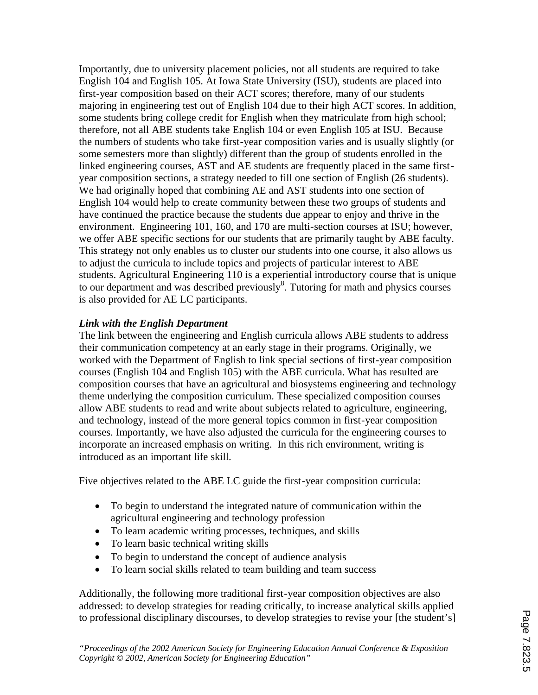Importantly, due to university placement policies, not all students are required to take English 104 and English 105. At Iowa State University (ISU), students are placed into first-year composition based on their ACT scores; therefore, many of our students majoring in engineering test out of English 104 due to their high ACT scores. In addition, some students bring college credit for English when they matriculate from high school; therefore, not all ABE students take English 104 or even English 105 at ISU. Because the numbers of students who take first-year composition varies and is usually slightly (or some semesters more than slightly) different than the group of students enrolled in the linked engineering courses, AST and AE students are frequently placed in the same firstyear composition sections, a strategy needed to fill one section of English (26 students). We had originally hoped that combining AE and AST students into one section of English 104 would help to create community between these two groups of students and have continued the practice because the students due appear to enjoy and thrive in the environment. Engineering 101, 160, and 170 are multi-section courses at ISU; however, we offer ABE specific sections for our students that are primarily taught by ABE faculty. This strategy not only enables us to cluster our students into one course, it also allows us to adjust the curricula to include topics and projects of particular interest to ABE students. Agricultural Engineering 110 is a experiential introductory course that is unique to our department and was described previously<sup>8</sup>. Tutoring for math and physics courses is also provided for AE LC participants.

### *Link with the English Department*

The link between the engineering and English curricula allows ABE students to address their communication competency at an early stage in their programs. Originally, we worked with the Department of English to link special sections of first-year composition courses (English 104 and English 105) with the ABE curricula. What has resulted are composition courses that have an agricultural and biosystems engineering and technology theme underlying the composition curriculum. These specialized composition courses allow ABE students to read and write about subjects related to agriculture, engineering, and technology, instead of the more general topics common in first-year composition courses. Importantly, we have also adjusted the curricula for the engineering courses to incorporate an increased emphasis on writing. In this rich environment, writing is introduced as an important life skill.

Five objectives related to the ABE LC guide the first-year composition curricula:

- · To begin to understand the integrated nature of communication within the agricultural engineering and technology profession
- · To learn academic writing processes, techniques, and skills
- To learn basic technical writing skills
- To begin to understand the concept of audience analysis
- To learn social skills related to team building and team success

Additionally, the following more traditional first-year composition objectives are also addressed: to develop strategies for reading critically, to increase analytical skills applied to professional disciplinary discourses, to develop strategies to revise your [the student's]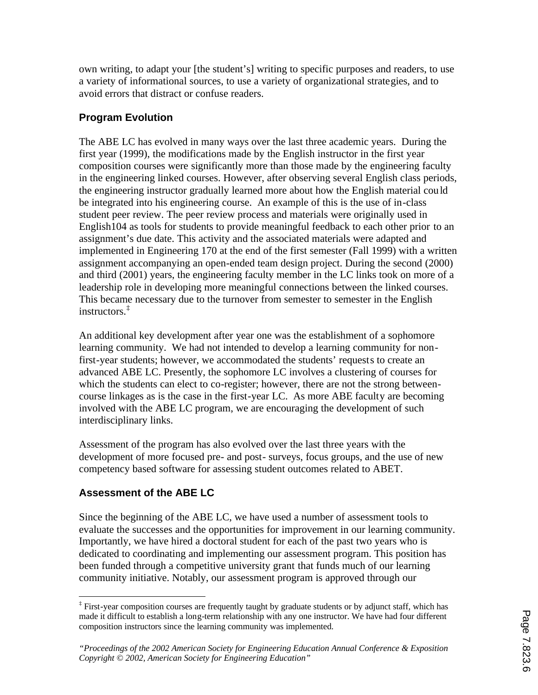own writing, to adapt your [the student's] writing to specific purposes and readers, to use a variety of informational sources, to use a variety of organizational strategies, and to avoid errors that distract or confuse readers.

## **Program Evolution**

The ABE LC has evolved in many ways over the last three academic years. During the first year (1999), the modifications made by the English instructor in the first year composition courses were significantly more than those made by the engineering faculty in the engineering linked courses. However, after observing several English class periods, the engineering instructor gradually learned more about how the English material could be integrated into his engineering course. An example of this is the use of in-class student peer review. The peer review process and materials were originally used in English104 as tools for students to provide meaningful feedback to each other prior to an assignment's due date. This activity and the associated materials were adapted and implemented in Engineering 170 at the end of the first semester (Fall 1999) with a written assignment accompanying an open-ended team design project. During the second (2000) and third (2001) years, the engineering faculty member in the LC links took on more of a leadership role in developing more meaningful connections between the linked courses. This became necessary due to the turnover from semester to semester in the English instructors.‡

An additional key development after year one was the establishment of a sophomore learning community. We had not intended to develop a learning community for nonfirst-year students; however, we accommodated the students' requests to create an advanced ABE LC. Presently, the sophomore LC involves a clustering of courses for which the students can elect to co-register; however, there are not the strong betweencourse linkages as is the case in the first-year LC. As more ABE faculty are becoming involved with the ABE LC program, we are encouraging the development of such interdisciplinary links.

Assessment of the program has also evolved over the last three years with the development of more focused pre- and post- surveys, focus groups, and the use of new competency based software for assessing student outcomes related to ABET.

## **Assessment of the ABE LC**

Since the beginning of the ABE LC, we have used a number of assessment tools to evaluate the successes and the opportunities for improvement in our learning community. Importantly, we have hired a doctoral student for each of the past two years who is dedicated to coordinating and implementing our assessment program. This position has been funded through a competitive university grant that funds much of our learning community initiative. Notably, our assessment program is approved through our

 ‡ First-year composition courses are frequently taught by graduate students or by adjunct staff, which has made it difficult to establish a long-term relationship with any one instructor. We have had four different composition instructors since the learning community was implemented.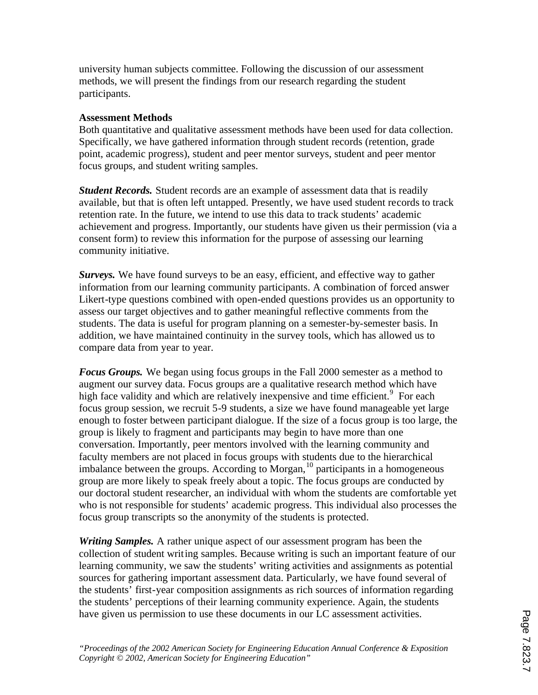university human subjects committee. Following the discussion of our assessment methods, we will present the findings from our research regarding the student participants.

#### **Assessment Methods**

Both quantitative and qualitative assessment methods have been used for data collection. Specifically, we have gathered information through student records (retention, grade point, academic progress), student and peer mentor surveys, student and peer mentor focus groups, and student writing samples.

*Student Records.* Student records are an example of assessment data that is readily available, but that is often left untapped. Presently, we have used student records to track retention rate. In the future, we intend to use this data to track students' academic achievement and progress. Importantly, our students have given us their permission (via a consent form) to review this information for the purpose of assessing our learning community initiative.

Surveys. We have found surveys to be an easy, efficient, and effective way to gather information from our learning community participants. A combination of forced answer Likert-type questions combined with open-ended questions provides us an opportunity to assess our target objectives and to gather meaningful reflective comments from the students. The data is useful for program planning on a semester-by-semester basis. In addition, we have maintained continuity in the survey tools, which has allowed us to compare data from year to year.

*Focus Groups.* We began using focus groups in the Fall 2000 semester as a method to augment our survey data. Focus groups are a qualitative research method which have high face validity and which are relatively inexpensive and time efficient.<sup>9</sup> For each focus group session, we recruit 5-9 students, a size we have found manageable yet large enough to foster between participant dialogue. If the size of a focus group is too large, the group is likely to fragment and participants may begin to have more than one conversation. Importantly, peer mentors involved with the learning community and faculty members are not placed in focus groups with students due to the hierarchical imbalance between the groups. According to Morgan,  $^{10}$  participants in a homogeneous group are more likely to speak freely about a topic. The focus groups are conducted by our doctoral student researcher, an individual with whom the students are comfortable yet who is not responsible for students' academic progress. This individual also processes the focus group transcripts so the anonymity of the students is protected.

*Writing Samples.* A rather unique aspect of our assessment program has been the collection of student writing samples. Because writing is such an important feature of our learning community, we saw the students' writing activities and assignments as potential sources for gathering important assessment data. Particularly, we have found several of the students' first-year composition assignments as rich sources of information regarding the students' perceptions of their learning community experience. Again, the students have given us permission to use these documents in our LC assessment activities.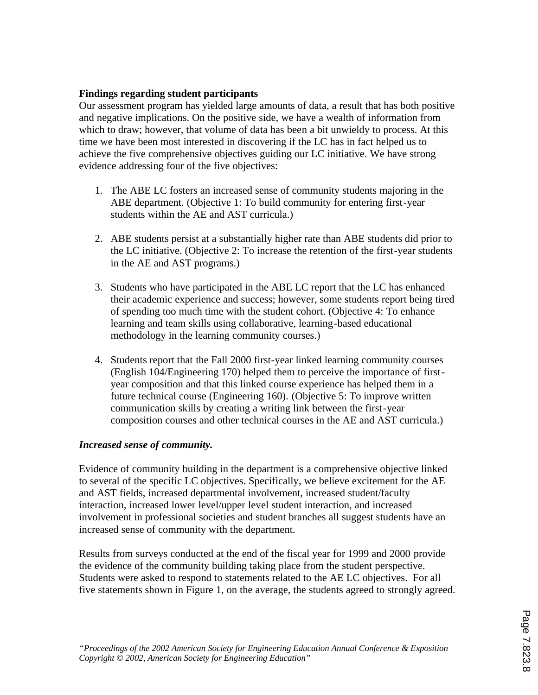### **Findings regarding student participants**

Our assessment program has yielded large amounts of data, a result that has both positive and negative implications. On the positive side, we have a wealth of information from which to draw; however, that volume of data has been a bit unwieldy to process. At this time we have been most interested in discovering if the LC has in fact helped us to achieve the five comprehensive objectives guiding our LC initiative. We have strong evidence addressing four of the five objectives:

- 1. The ABE LC fosters an increased sense of community students majoring in the ABE department. (Objective 1: To build community for entering first-year students within the AE and AST curricula.)
- 2. ABE students persist at a substantially higher rate than ABE students did prior to the LC initiative. (Objective 2: To increase the retention of the first-year students in the AE and AST programs.)
- 3. Students who have participated in the ABE LC report that the LC has enhanced their academic experience and success; however, some students report being tired of spending too much time with the student cohort. (Objective 4: To enhance learning and team skills using collaborative, learning-based educational methodology in the learning community courses.)
- 4. Students report that the Fall 2000 first-year linked learning community courses (English 104/Engineering 170) helped them to perceive the importance of firstyear composition and that this linked course experience has helped them in a future technical course (Engineering 160). (Objective 5: To improve written communication skills by creating a writing link between the first-year composition courses and other technical courses in the AE and AST curricula.)

#### *Increased sense of community.*

Evidence of community building in the department is a comprehensive objective linked to several of the specific LC objectives. Specifically, we believe excitement for the AE and AST fields, increased departmental involvement, increased student/faculty interaction, increased lower level/upper level student interaction, and increased involvement in professional societies and student branches all suggest students have an increased sense of community with the department.

Results from surveys conducted at the end of the fiscal year for 1999 and 2000 provide the evidence of the community building taking place from the student perspective. Students were asked to respond to statements related to the AE LC objectives. For all five statements shown in Figure 1, on the average, the students agreed to strongly agreed.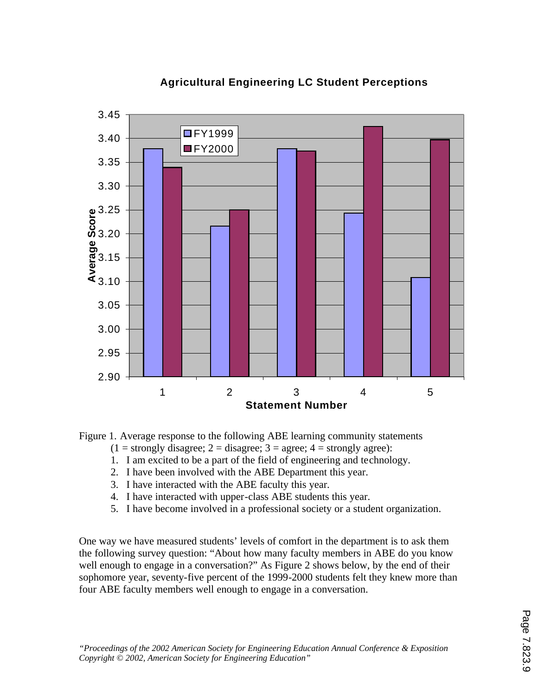

# **Agricultural Engineering LC Student Perceptions**

Figure 1. Average response to the following ABE learning community statements

- $(1 =$  strongly disagree;  $2 =$  disagree;  $3 =$  agree;  $4 =$  strongly agree):
- 1. I am excited to be a part of the field of engineering and technology.
- 2. I have been involved with the ABE Department this year.
- 3. I have interacted with the ABE faculty this year.
- 4. I have interacted with upper-class ABE students this year.
- 5. I have become involved in a professional society or a student organization.

One way we have measured students' levels of comfort in the department is to ask them the following survey question: "About how many faculty members in ABE do you know well enough to engage in a conversation?" As Figure 2 shows below, by the end of their sophomore year, seventy-five percent of the 1999-2000 students felt they knew more than four ABE faculty members well enough to engage in a conversation.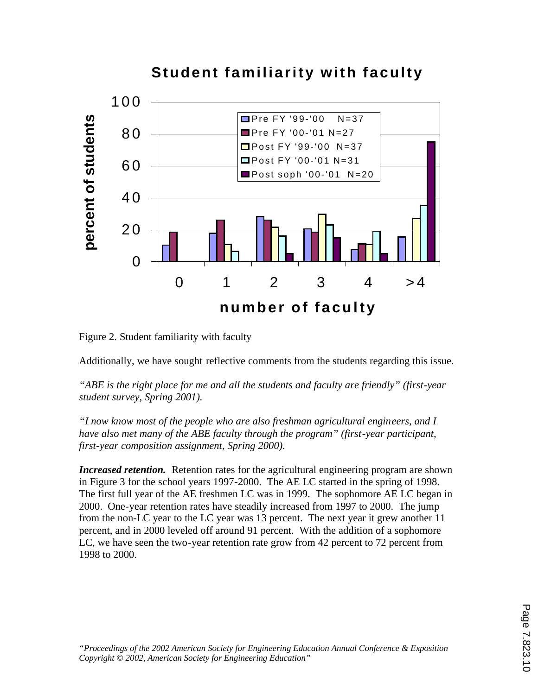

Figure 2. Student familiarity with faculty

Additionally, we have sought reflective comments from the students regarding this issue.

*"ABE is the right place for me and all the students and faculty are friendly" (first-year student survey, Spring 2001).* 

*"I now know most of the people who are also freshman agricultural engineers, and I have also met many of the ABE faculty through the program" (first-year participant, first-year composition assignment, Spring 2000).*

*Increased retention.* Retention rates for the agricultural engineering program are shown in Figure 3 for the school years 1997-2000. The AE LC started in the spring of 1998. The first full year of the AE freshmen LC was in 1999. The sophomore AE LC began in 2000. One-year retention rates have steadily increased from 1997 to 2000. The jump from the non-LC year to the LC year was 13 percent. The next year it grew another 11 percent, and in 2000 leveled off around 91 percent. With the addition of a sophomore LC, we have seen the two-year retention rate grow from 42 percent to 72 percent from 1998 to 2000.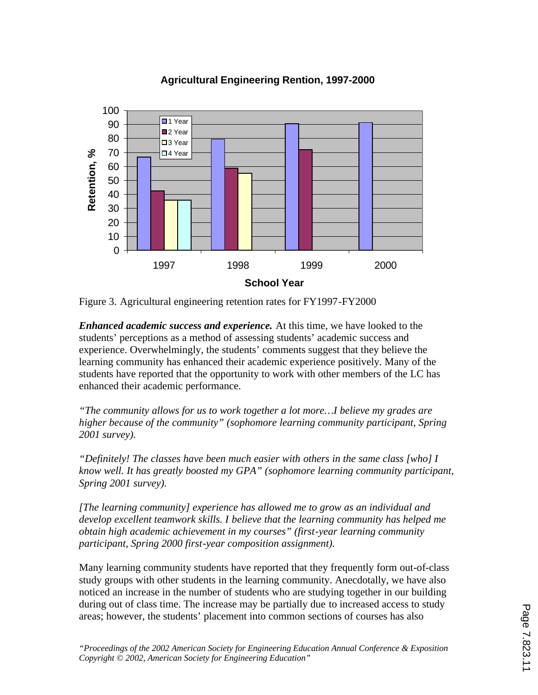$\Omega$ 10 20 30 40 50 60 70 80 90 100 1997 1998 1999 2000 **School Year Retention, %** ■1 Year 2 Year ■3 Year □4 Year

## **Agricultural Engineering Rention, 1997-2000**

Figure 3. Agricultural engineering retention rates for FY1997-FY2000

*Enhanced academic success and experience.* At this time, we have looked to the students' perceptions as a method of assessing students' academic success and experience. Overwhelmingly, the students' comments suggest that they believe the learning community has enhanced their academic experience positively. Many of the students have reported that the opportunity to work with other members of the LC has enhanced their academic performance.

*"The community allows for us to work together a lot more…I believe my grades are higher because of the community" (sophomore learning community participant, Spring 2001 survey).*

*"Definitely! The classes have been much easier with others in the same class [who] I know well. It has greatly boosted my GPA" (sophomore learning community participant, Spring 2001 survey).*

*[The learning community] experience has allowed me to grow as an individual and develop excellent teamwork skills. I believe that the learning community has helped me obtain high academic achievement in my courses" (first-year learning community participant, Spring 2000 first-year composition assignment).*

Many learning community students have reported that they frequently form out-of-class study groups with other students in the learning community. Anecdotally, we have also noticed an increase in the number of students who are studying together in our building during out of class time. The increase may be partially due to increased access to study areas; however, the students' placement into common sections of courses has also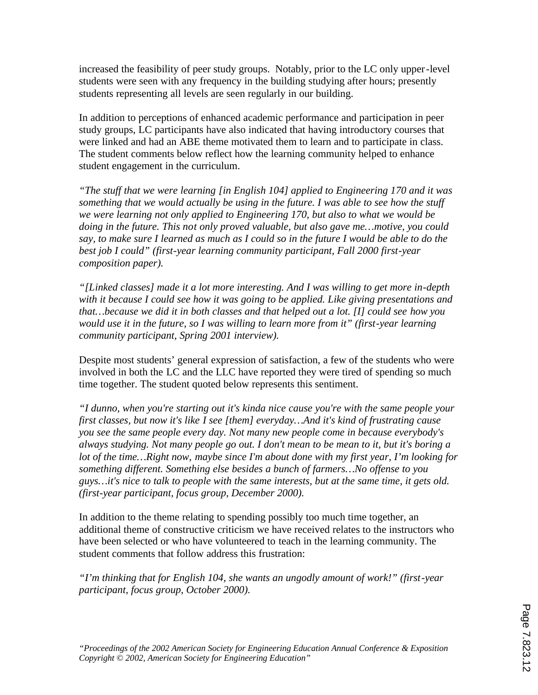increased the feasibility of peer study groups. Notably, prior to the LC only upper-level students were seen with any frequency in the building studying after hours; presently students representing all levels are seen regularly in our building.

In addition to perceptions of enhanced academic performance and participation in peer study groups, LC participants have also indicated that having introductory courses that were linked and had an ABE theme motivated them to learn and to participate in class. The student comments below reflect how the learning community helped to enhance student engagement in the curriculum.

*"The stuff that we were learning [in English 104] applied to Engineering 170 and it was something that we would actually be using in the future. I was able to see how the stuff we were learning not only applied to Engineering 170, but also to what we would be doing in the future. This not only proved valuable, but also gave me…motive, you could say, to make sure I learned as much as I could so in the future I would be able to do the best job I could" (first-year learning community participant, Fall 2000 first-year composition paper).*

*"[Linked classes] made it a lot more interesting. And I was willing to get more in-depth with it because I could see how it was going to be applied. Like giving presentations and that…because we did it in both classes and that helped out a lot. [I] could see how you would use it in the future, so I was willing to learn more from it" (first-year learning community participant, Spring 2001 interview).*

Despite most students' general expression of satisfaction, a few of the students who were involved in both the LC and the LLC have reported they were tired of spending so much time together. The student quoted below represents this sentiment.

*"I dunno, when you're starting out it's kinda nice cause you're with the same people your first classes, but now it's like I see [them] everyday…And it's kind of frustrating cause you see the same people every day. Not many new people come in because everybody's always studying. Not many people go out. I don't mean to be mean to it, but it's boring a lot of the time…Right now, maybe since I'm about done with my first year, I'm looking for something different. Something else besides a bunch of farmers…No offense to you guys…it's nice to talk to people with the same interests, but at the same time, it gets old. (first-year participant, focus group, December 2000).*

In addition to the theme relating to spending possibly too much time together, an additional theme of constructive criticism we have received relates to the instructors who have been selected or who have volunteered to teach in the learning community. The student comments that follow address this frustration:

*"I'm thinking that for English 104, she wants an ungodly amount of work!" (first-year participant, focus group, October 2000).*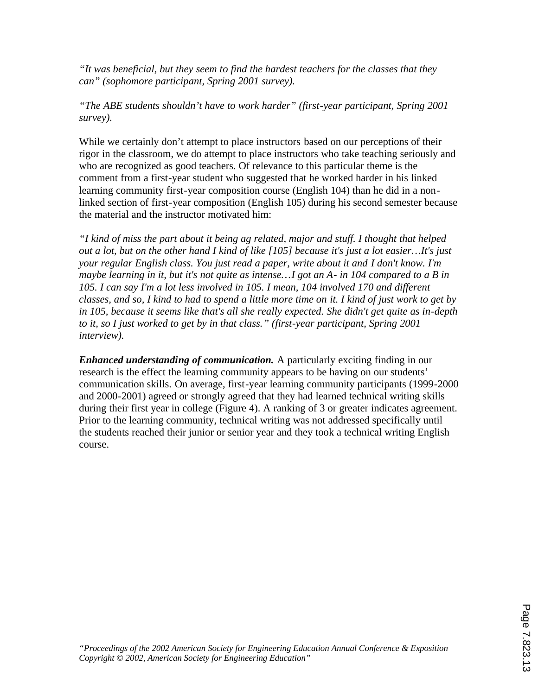*"It was beneficial, but they seem to find the hardest teachers for the classes that they can" (sophomore participant, Spring 2001 survey).*

*"The ABE students shouldn't have to work harder" (first-year participant, Spring 2001 survey).*

While we certainly don't attempt to place instructors based on our perceptions of their rigor in the classroom, we do attempt to place instructors who take teaching seriously and who are recognized as good teachers. Of relevance to this particular theme is the comment from a first-year student who suggested that he worked harder in his linked learning community first-year composition course (English 104) than he did in a nonlinked section of first-year composition (English 105) during his second semester because the material and the instructor motivated him:

*"I kind of miss the part about it being ag related, major and stuff. I thought that helped out a lot, but on the other hand I kind of like [105] because it's just a lot easier…It's just your regular English class. You just read a paper, write about it and I don't know. I'm maybe learning in it, but it's not quite as intense…I got an A- in 104 compared to a B in 105. I can say I'm a lot less involved in 105. I mean, 104 involved 170 and different classes, and so, I kind to had to spend a little more time on it. I kind of just work to get by in 105, because it seems like that's all she really expected. She didn't get quite as in-depth to it, so I just worked to get by in that class." (first-year participant, Spring 2001 interview).* 

*Enhanced understanding of communication.* A particularly exciting finding in our research is the effect the learning community appears to be having on our students' communication skills. On average, first-year learning community participants (1999-2000 and 2000-2001) agreed or strongly agreed that they had learned technical writing skills during their first year in college (Figure 4). A ranking of 3 or greater indicates agreement. Prior to the learning community, technical writing was not addressed specifically until the students reached their junior or senior year and they took a technical writing English course.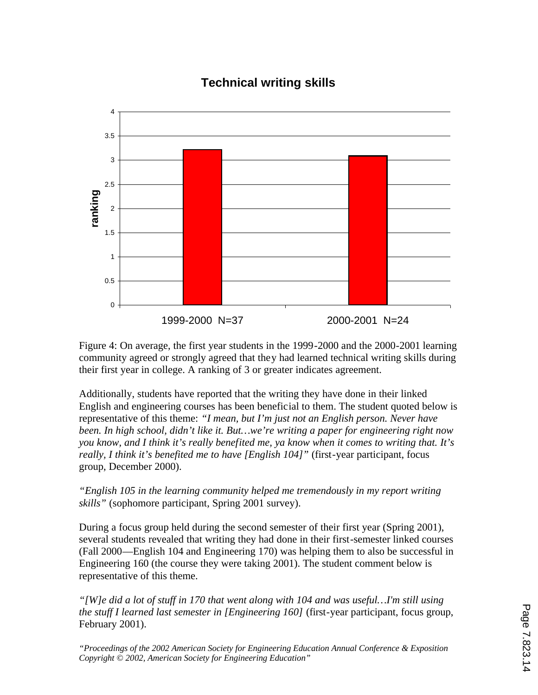# **Technical writing skills**



Figure 4: On average, the first year students in the 1999-2000 and the 2000-2001 learning community agreed or strongly agreed that they had learned technical writing skills during their first year in college. A ranking of 3 or greater indicates agreement.

Additionally, students have reported that the writing they have done in their linked English and engineering courses has been beneficial to them. The student quoted below is representative of this theme: *"I mean, but I'm just not an English person. Never have been. In high school, didn't like it. But…we're writing a paper for engineering right now you know, and I think it's really benefited me, ya know when it comes to writing that. It's really, I think it's benefited me to have [English 104]"* (first-year participant, focus group, December 2000).

*"English 105 in the learning community helped me tremendously in my report writing skills"* (sophomore participant, Spring 2001 survey).

During a focus group held during the second semester of their first year (Spring 2001), several students revealed that writing they had done in their first-semester linked courses (Fall 2000—English 104 and Engineering 170) was helping them to also be successful in Engineering 160 (the course they were taking 2001). The student comment below is representative of this theme.

*"[W]e did a lot of stuff in 170 that went along with 104 and was useful…I'm still using the stuff I learned last semester in [Engineering 160]* (first-year participant, focus group, February 2001).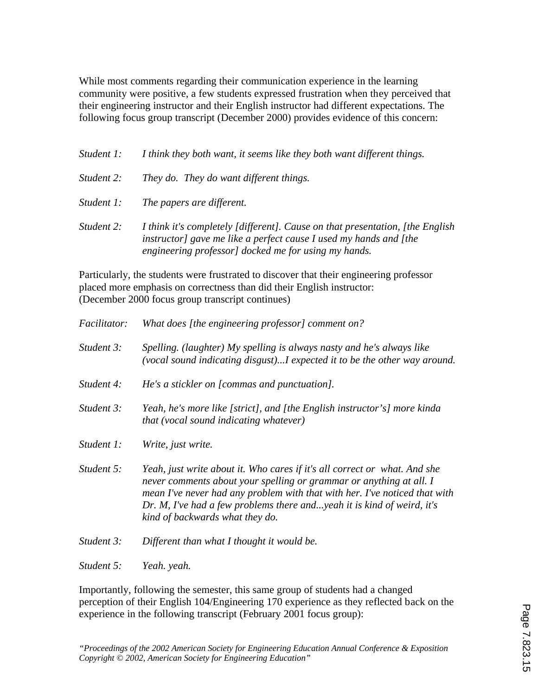While most comments regarding their communication experience in the learning community were positive, a few students expressed frustration when they perceived that their engineering instructor and their English instructor had different expectations. The following focus group transcript (December 2000) provides evidence of this concern:

| Student 1: | I think they both want, it seems like they both want different things.                                                                                                                                      |
|------------|-------------------------------------------------------------------------------------------------------------------------------------------------------------------------------------------------------------|
| Student 2: | They do. They do want different things.                                                                                                                                                                     |
| Student 1: | The papers are different.                                                                                                                                                                                   |
| Student 2: | I think it's completely [different]. Cause on that presentation, [the English]<br>instructor] gave me like a perfect cause I used my hands and [the<br>engineering professor] docked me for using my hands. |

Particularly, the students were frustrated to discover that their engineering professor placed more emphasis on correctness than did their English instructor: (December 2000 focus group transcript continues)

| <i>Facilitator:</i> | What does [the engineering professor] comment on?                                                                                                                                                                                                                                                                                           |
|---------------------|---------------------------------------------------------------------------------------------------------------------------------------------------------------------------------------------------------------------------------------------------------------------------------------------------------------------------------------------|
| Student 3:          | Spelling. (laughter) My spelling is always nasty and he's always like<br>(vocal sound indicating disgust)I expected it to be the other way around.                                                                                                                                                                                          |
| Student 4:          | He's a stickler on [commas and punctuation].                                                                                                                                                                                                                                                                                                |
| Student 3:          | Yeah, he's more like [strict], and [the English instructor's] more kinda<br><i>that (vocal sound indicating whatever)</i>                                                                                                                                                                                                                   |
| Student 1:          | Write, just write.                                                                                                                                                                                                                                                                                                                          |
| Student 5:          | Yeah, just write about it. Who cares if it's all correct or what. And she<br>never comments about your spelling or grammar or anything at all. I<br>mean I've never had any problem with that with her. I've noticed that with<br>Dr. M, I've had a few problems there andyeah it is kind of weird, it's<br>kind of backwards what they do. |
| Student 3:          | Different than what I thought it would be.                                                                                                                                                                                                                                                                                                  |
| Student 5:          | Yeah. yeah.                                                                                                                                                                                                                                                                                                                                 |

Importantly, following the semester, this same group of students had a changed perception of their English 104/Engineering 170 experience as they reflected back on the experience in the following transcript (February 2001 focus group):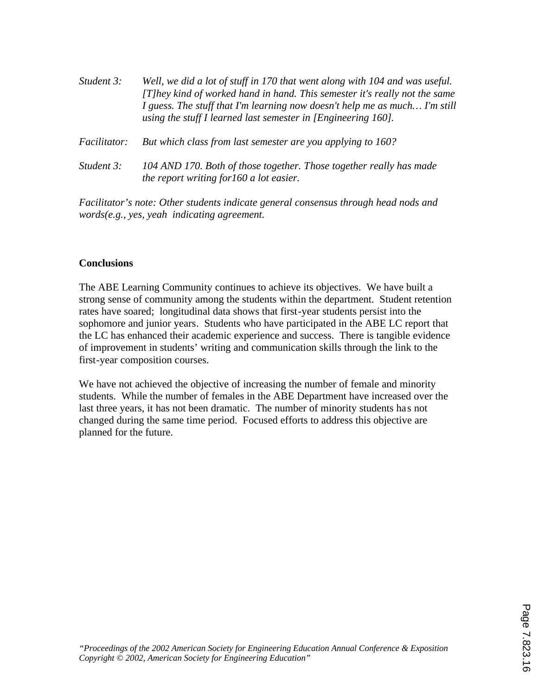| Student 3:          | Well, we did a lot of stuff in 170 that went along with 104 and was useful.<br>[T]hey kind of worked hand in hand. This semester it's really not the same<br>I guess. The stuff that I'm learning now doesn't help me as much I'm still<br>using the stuff I learned last semester in $[Engineering 160]$ . |
|---------------------|-------------------------------------------------------------------------------------------------------------------------------------------------------------------------------------------------------------------------------------------------------------------------------------------------------------|
| <i>Facilitator:</i> | But which class from last semester are you applying to 160?                                                                                                                                                                                                                                                 |
| Student 3:          | 104 AND 170. Both of those together. Those together really has made<br>the report writing for 160 a lot easier.                                                                                                                                                                                             |

*Facilitator's note: Other students indicate general consensus through head nods and words(e.g., yes, yeah indicating agreement.*

#### **Conclusions**

The ABE Learning Community continues to achieve its objectives. We have built a strong sense of community among the students within the department. Student retention rates have soared; longitudinal data shows that first-year students persist into the sophomore and junior years. Students who have participated in the ABE LC report that the LC has enhanced their academic experience and success. There is tangible evidence of improvement in students' writing and communication skills through the link to the first-year composition courses.

We have not achieved the objective of increasing the number of female and minority students. While the number of females in the ABE Department have increased over the last three years, it has not been dramatic. The number of minority students has not changed during the same time period. Focused efforts to address this objective are planned for the future.